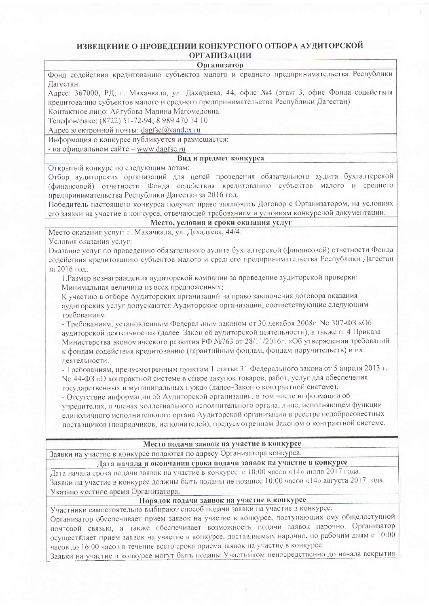#### ИЗВЕШЕНИЕ О ПРОВЕЛЕНИИ КОНКУРСНОГО ОТБОРА АУДИТОРСКОЙ **ОРГАНИЗАЦИИ**

### Организатор

Фонд содействия кредитованию субъектов малого и среднего предпринимательства Республики Лагестан.

Алрес: 367000, РД, г. Махачкала, ул. Дахадаева, 44, офис №4 (этаж 3, офис Фонда содействия кредитованию субъектов малого и среднего предпринимательства Республики Дагестан)

Контактное лицо: Айгубова Мадина Магомедовна

Телефон/факс; (8722) 51-72-94; 8 989 470 74 10

Адрес электронной почты: dagfsc@yandex.ru

Информация о конкурсе публикуется и размещается:

- на официальном сайте - www.dagfsc.ru

## Вид и предмет конкурса

Открытый конкурс по следующим лотам:

Отбор аудиторских организаций для целей проведения обязательного аудита бухгалтерской (финансовой) отчетности Фонда содействия кредитованию субъектов малого и среднего предпринимательства Республики Дагестан за 2016 год.

Побелитель настояшего конкурса получит право заключить Договор с Организатором, на условиях его заявки на участие в конкурсе, отвечающей требованиям и условиям конкурсной документации.

Место, условия и сроки оказания услуг

Место оказания услуг: г. Махачкала, ул. Дахадаева, 44/4.

Условия оказания услуг:

Оказание услуг по проведению обязательного аудита бухгалтерской (финансовой) отчетности Фонда содействия кредитованию субъектов малого и среднего предпринимательства Республики Дагестан за 2016 год:

1. Размер вознаграждения аудиторской компании за проведение аудиторской проверки: Минимальная величина из всех предложенных;

К участию в отборе Аудиторских организаций на право заключения договора оказания аудиторских услуг допускаются Аудиторские организации, соответствующие следующим требованиям:

- Требованиям, установленным Федеральным законом от 30 декабря 2008г. No 307-ФЗ «Об аудиторской деятельности» (далее-Закон об аудиторской деятельности), а также п. 4 Приказа Министерства экономического развития РФ №763 от 28/11/2016г. «Об утверждении требований к фондам содействия кредитованию (гарантийным фондам, фондам поручительств) и их леятельности.

- Требованиям, предусмотренным пунктом 1 статьи 31 Федерального закона от 5 апреля 2013 г. No 44-ФЗ «О контрактной системе в сфере закупок товаров, работ, услуг для обеспечения государственных и муниципальных нужд» (далее-Закон о контрактной системе).

- Отсутствие информации об Аудиторской организации, в том числе информации об учредителях, о членах коллегиального исполнительного органа, лице, исполняющем функции единоличного исполнительного органа Аудиторской организации в реестре недобросовестных поставщиков (подрядчиков, исполнителей), предусмотренном Законом о контрактной системе.

## Место подачи заявок на участие в конкурсе

# Заявки на участие в конкурсе подаются по адресу Организатора конкурса.

Дата начала и окончания срока подачи заявок на участие в конкурсе

Дата начала срока подачи заявок на участие в конкурсе: с 10:00 часов «14» июля 2017 года. Заявки на участие в конкурсе должны быть поданы не позднее 10:00 часов «14» августа 2017 года. Указано местное время Организатора.

## Порядок подачи заявок на участие в конкурсе

Участники самостоятельно выбирают способ подачи заявки на участие в конкурсе.

Организатор обеспечивает прием заявок на участие в конкурсе, поступающих ему общедоступной почтовой связью, а также обеспечивает возможность подачи заявок нарочно. Организатор осуществляет прием заявок на участие в конкурсе, доставляемых нарочно, по рабочим дням с 10:00 часов до 16:00 часов в течение всего срока приема заявок на участие в конкурсе.

Заявки на участие в конкурсе могут быть поданы Участником непосредственно до начала вскрытия